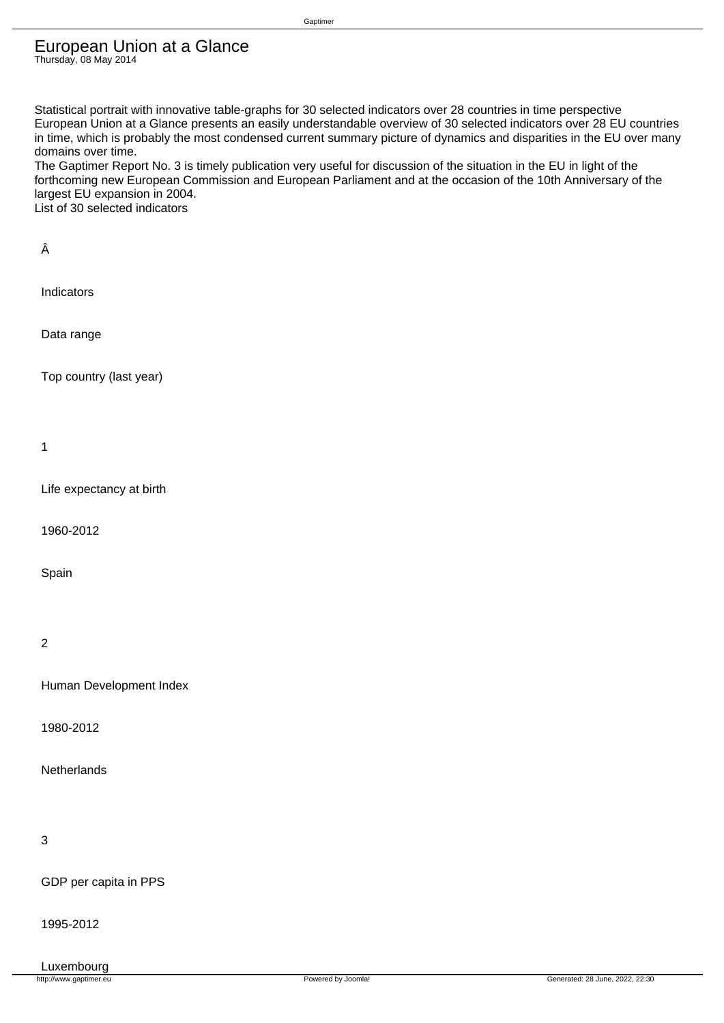### European Union at a Glance Thursday, 08 May 2014

Gaptimer

Statistical portrait with innovative table-graphs for 30 selected indicators over 28 countries in time perspective European Union at a Glance presents an easily understandable overview of 30 selected indicators over 28 EU countries in time, which is probably the most condensed current summary picture of dynamics and disparities in the EU over many domains over time.

The Gaptimer Report No. 3 is timely publication very useful for discussion of the situation in the EU in light of the forthcoming new European Commission and European Parliament and at the occasion of the 10th Anniversary of the largest EU expansion in 2004. List of 30 selected indicators

 Â Indicators Data range Top country (last year) 1 Life expectancy at birth 1960-2012 Spain 2 Human Development Index

1980-2012

**Netherlands** 

3

GDP per capita in PPS

1995-2012

Luxembourg<br>http://www.gaptimer.eu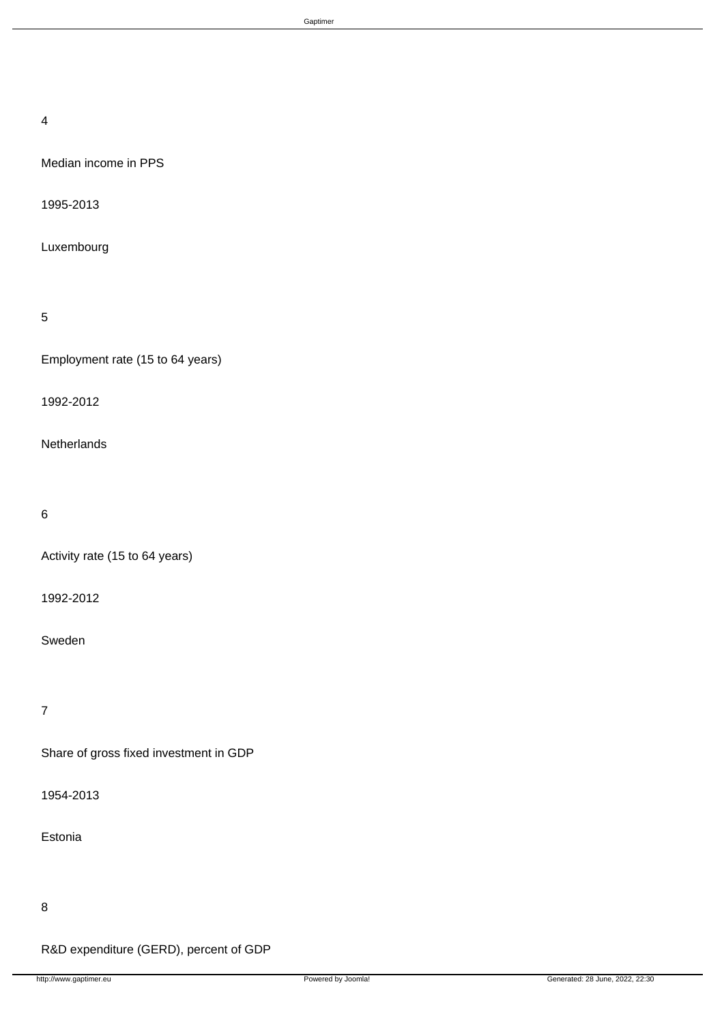### 4

Median income in PPS

1995-2013

Luxembourg

# 5

Employment rate (15 to 64 years)

1992-2012

**Netherlands** 

# 6

Activity rate (15 to 64 years)

1992-2012

Sweden

# 7

Share of gross fixed investment in GDP

1954-2013

Estonia

### 8

R&D expenditure (GERD), percent of GDP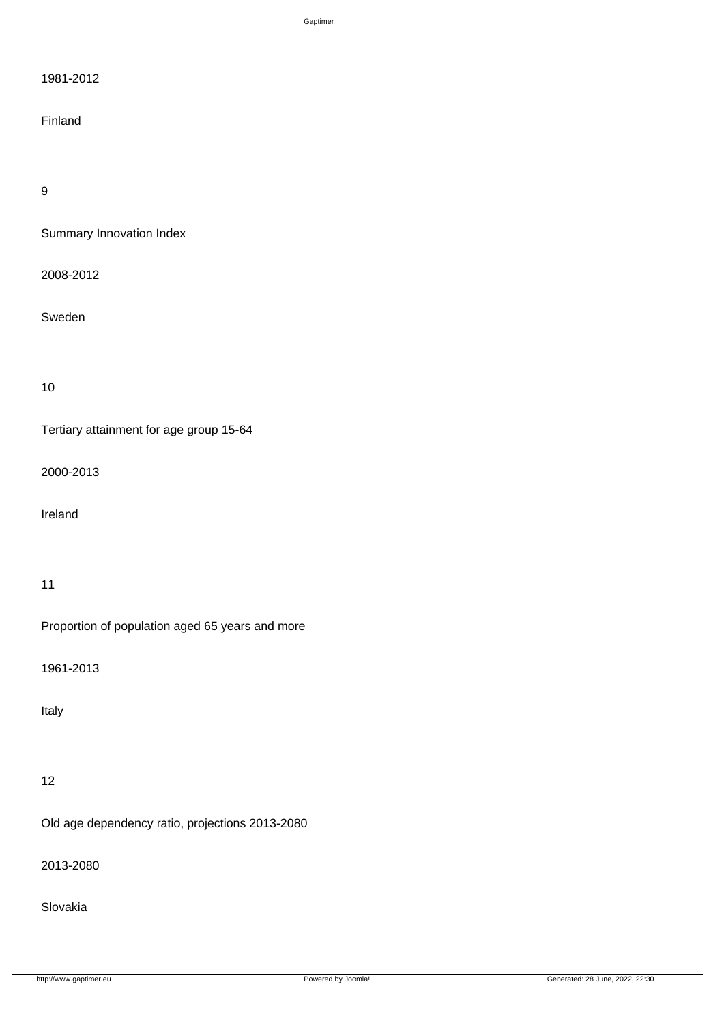# 1981-2012

### Finland

# 9

Summary Innovation Index

2008-2012

Sweden

10

Tertiary attainment for age group 15-64

2000-2013

Ireland

### 11

Proportion of population aged 65 years and more

1961-2013

Italy

# 12

Old age dependency ratio, projections 2013-2080

2013-2080

Slovakia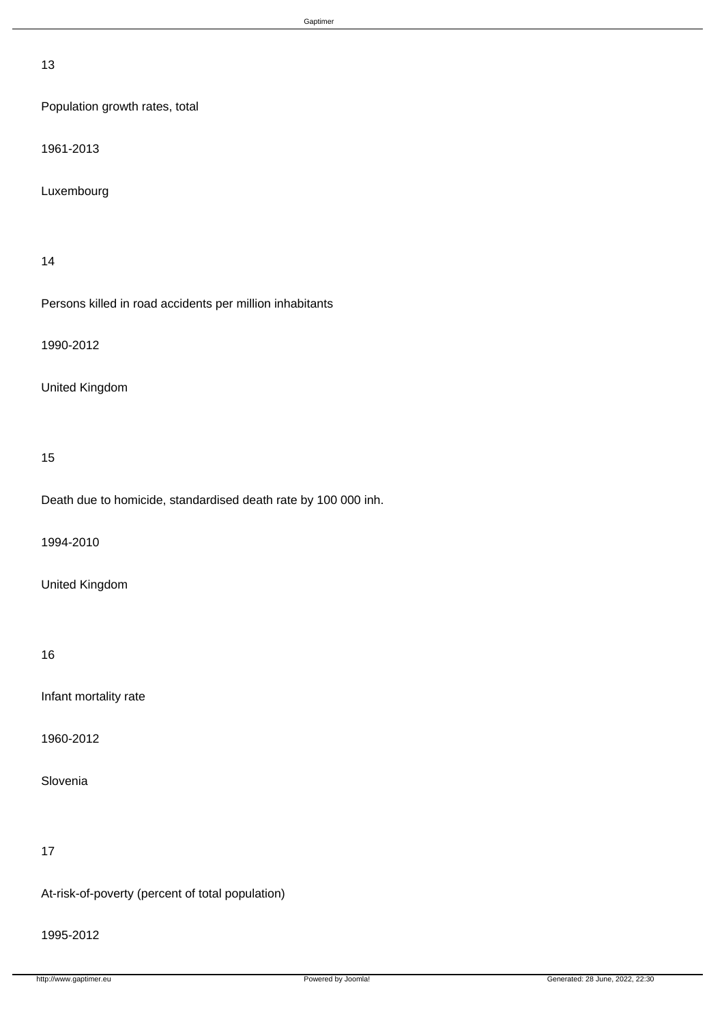### 13

Population growth rates, total

1961-2013

Luxembourg

### 14

Persons killed in road accidents per million inhabitants

1990-2012

## United Kingdom

### 15

Death due to homicide, standardised death rate by 100 000 inh.

1994-2010

## United Kingdom

# 16

Infant mortality rate

1960-2012

Slovenia

# 17

At-risk-of-poverty (percent of total population)

### 1995-2012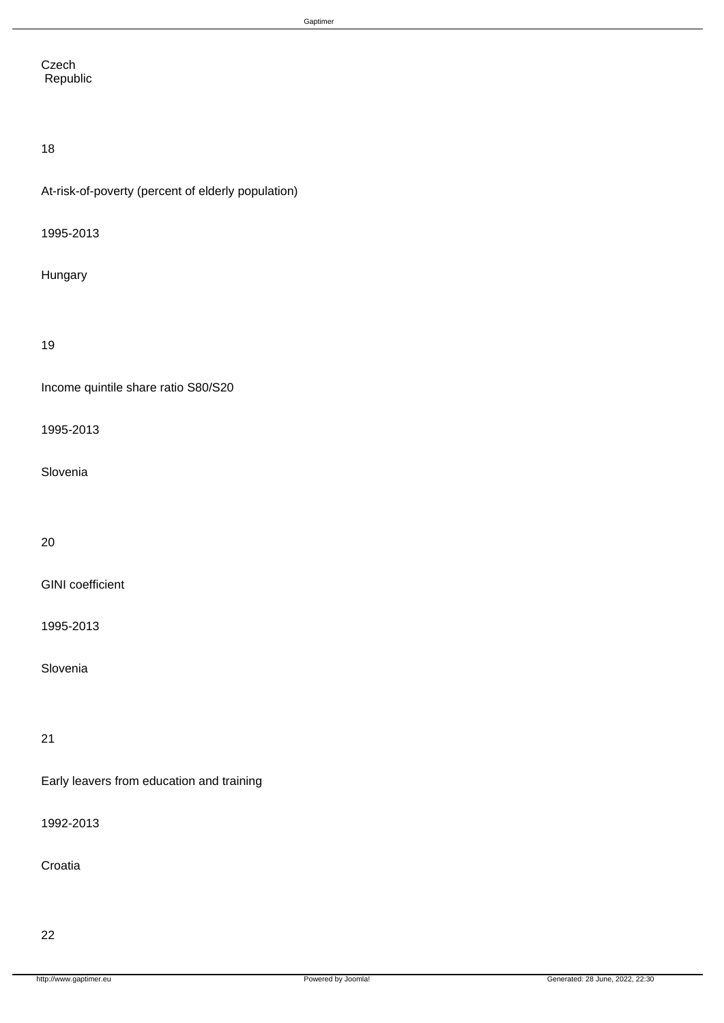**Czech** Republic

# 18

At-risk-of-poverty (percent of elderly population)

1995-2013

Hungary

19

Income quintile share ratio S80/S20

1995-2013

Slovenia

20

GINI coefficient

1995-2013

Slovenia

21

Early leavers from education and training

1992-2013

Croatia

22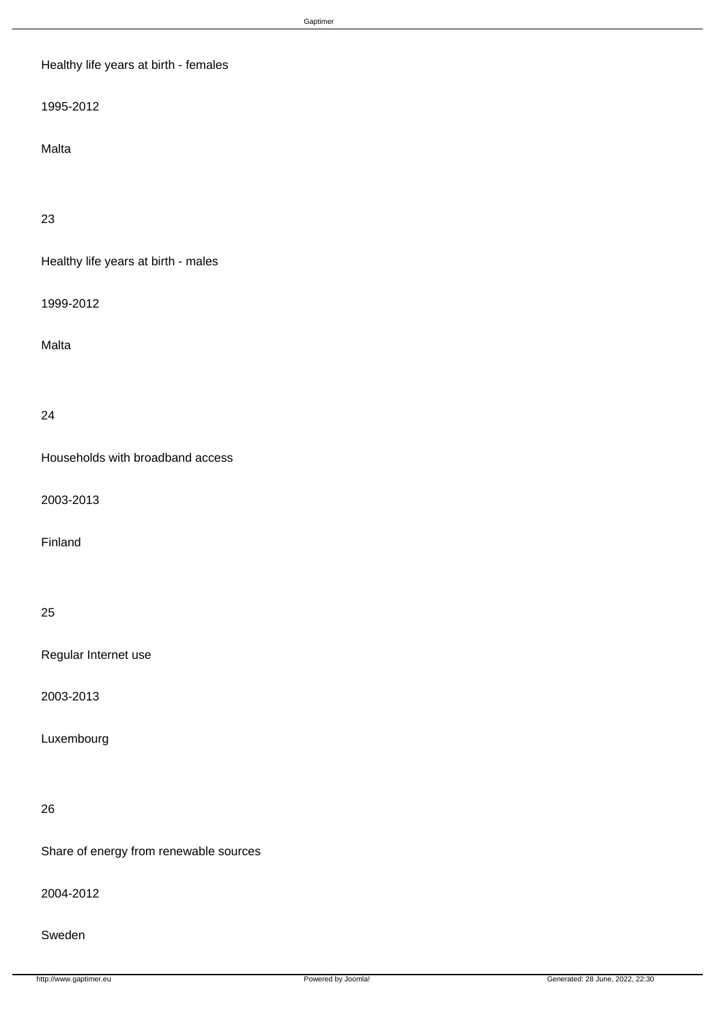# Healthy life years at birth - females

1995-2012

Malta

23

Healthy life years at birth - males

1999-2012

Malta

### 24

Households with broadband access

2003-2013

Finland

### 25

Regular Internet use

2003-2013

Luxembourg

## 26

Share of energy from renewable sources

2004-2012

Sweden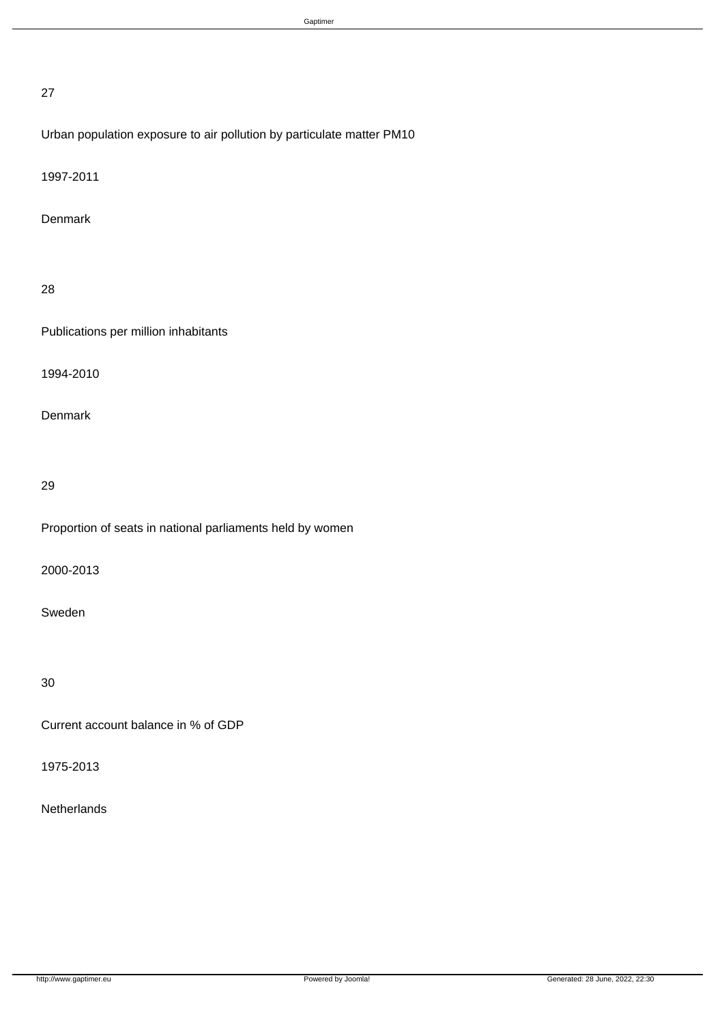### 27

# Urban population exposure to air pollution by particulate matter PM10

1997-2011

### Denmark

# 28

Publications per million inhabitants

1994-2010

Denmark

# 29

Proportion of seats in national parliaments held by women

2000-2013

Sweden

30

Current account balance in % of GDP

1975-2013

# **Netherlands**